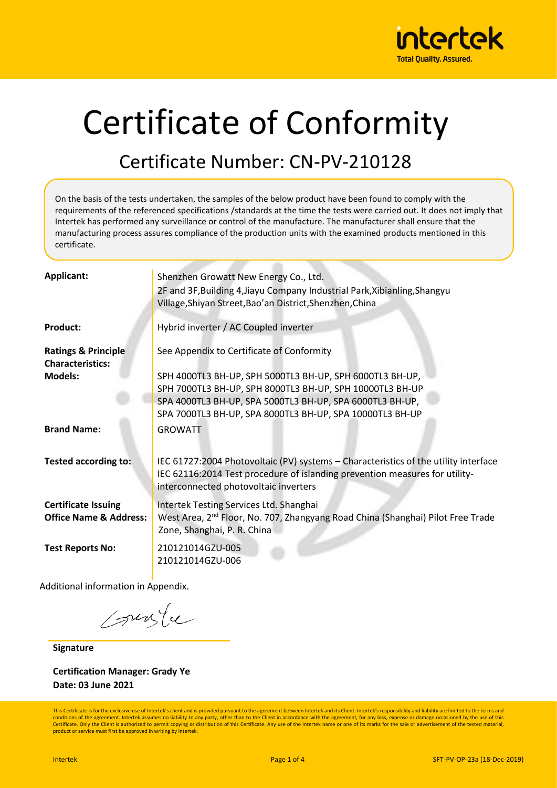

# Certificate of Conformity

#### Certificate Number: CN-PV-210128

On the basis of the tests undertaken, the samples of the below product have been found to comply with the requirements of the referenced specifications /standards at the time the tests were carried out. It does not imply that Intertek has performed any surveillance or control of the manufacture. The manufacturer shall ensure that the manufacturing process assures compliance of the production units with the examined products mentioned in this certificate.

| Applicant:                                                      | Shenzhen Growatt New Energy Co., Ltd.<br>2F and 3F, Building 4, Jiayu Company Industrial Park, Xibianling, Shangyu<br>Village, Shiyan Street, Bao'an District, Shenzhen, China                                                               |
|-----------------------------------------------------------------|----------------------------------------------------------------------------------------------------------------------------------------------------------------------------------------------------------------------------------------------|
| <b>Product:</b>                                                 | Hybrid inverter / AC Coupled inverter                                                                                                                                                                                                        |
| <b>Ratings &amp; Principle</b><br><b>Characteristics:</b>       | See Appendix to Certificate of Conformity                                                                                                                                                                                                    |
| <b>Models:</b>                                                  | SPH 4000TL3 BH-UP, SPH 5000TL3 BH-UP, SPH 6000TL3 BH-UP,<br>SPH 7000TL3 BH-UP, SPH 8000TL3 BH-UP, SPH 10000TL3 BH-UP<br>SPA 4000TL3 BH-UP, SPA 5000TL3 BH-UP, SPA 6000TL3 BH-UP,<br>SPA 7000TL3 BH-UP, SPA 8000TL3 BH-UP, SPA 10000TL3 BH-UP |
| <b>Brand Name:</b>                                              | <b>GROWATT</b>                                                                                                                                                                                                                               |
| <b>Tested according to:</b>                                     | IEC 61727:2004 Photovoltaic (PV) systems - Characteristics of the utility interface<br>IEC 62116:2014 Test procedure of islanding prevention measures for utility-<br>interconnected photovoltaic inverters                                  |
| <b>Certificate Issuing</b><br><b>Office Name &amp; Address:</b> | Intertek Testing Services Ltd. Shanghai<br>West Area, 2 <sup>nd</sup> Floor, No. 707, Zhangyang Road China (Shanghai) Pilot Free Trade<br>Zone, Shanghai, P. R. China                                                                        |
| <b>Test Reports No:</b>                                         | 210121014GZU-005<br>210121014GZU-006                                                                                                                                                                                                         |

Additional information in Appendix.

suste

**Signature**

**Certification Manager: Grady Ye Date: 03 June 2021**

This Certificate is for the exclusive use of Intertek's client and is provided pursuant to the agreement between Intertek and its Client. Intertek's responsibility and liability are limited to the terms and conditions of the agreement. Intertek assumes no liability to any party, other than to the Client in accordance with the agreement, for any loss, expense or damage occasioned by the use of this Certificate. Only the Client is authorized to permit copying or distribution of this Certificate. Any use of the Intertek name or one of its marks for the sale or advertisement of the tested material, product or service must first be approved in writing by Intertek.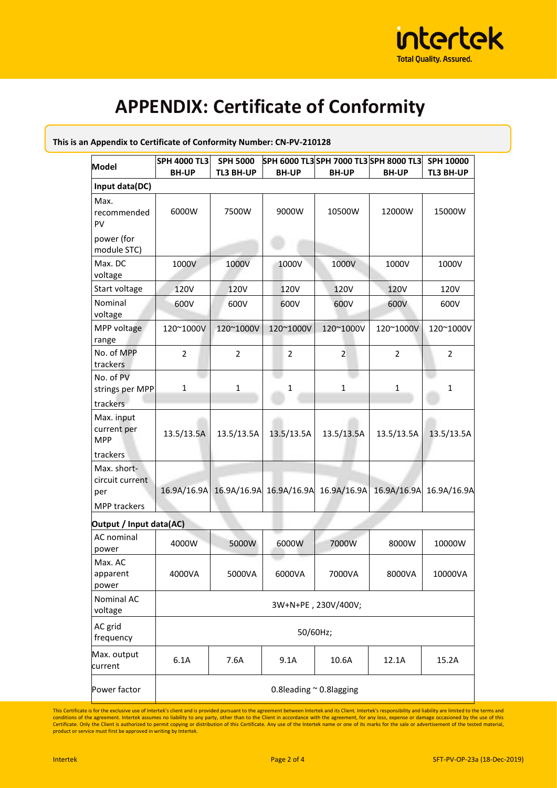

## **APPENDIX: Certificate of Conformity**

| Model                                                 | <b>SPH 4000 TL3</b>          | <b>SPH 5000</b> |                | SPH 6000 TL3 SPH 7000 TL3 SPH 8000 TL3          |                         | SPH 10000      |  |
|-------------------------------------------------------|------------------------------|-----------------|----------------|-------------------------------------------------|-------------------------|----------------|--|
|                                                       | <b>BH-UP</b>                 | TL3 BH-UP       | <b>BH-UP</b>   | <b>BH-UP</b>                                    | <b>BH-UP</b>            | TL3 BH-UP      |  |
| Input data(DC)                                        |                              |                 |                |                                                 |                         |                |  |
| Max.<br>recommended<br>PV                             | 6000W                        | 7500W           | 9000W          | 10500W                                          | 12000W                  | 15000W         |  |
| power (for<br>module STC)                             |                              |                 |                |                                                 |                         |                |  |
| Max. DC<br>voltage                                    | 1000V                        | 1000V           | 1000V          | 1000V                                           | 1000V                   | 1000V          |  |
| Start voltage                                         | <b>120V</b>                  | 120V            | <b>120V</b>    | <b>120V</b>                                     | <b>120V</b>             | 120V           |  |
| Nominal<br>voltage                                    | 600V                         | 600V            | 600V           | 600V                                            | 600V                    | 600V           |  |
| MPP voltage<br>range                                  | 120~1000V                    | 120~1000V       | 120~1000V      | 120~1000V                                       | 120~1000V               | 120~1000V      |  |
| No. of MPP<br>trackers                                | $\overline{2}$               | $\overline{2}$  | $\overline{2}$ | $\overline{2}$                                  | $\overline{2}$          | $\overline{2}$ |  |
| No. of PV<br>strings per MPP                          | $\mathbf{1}$                 | $\mathbf{1}$    | 1              | $\mathbf 1$                                     | $\mathbf{1}$            | $\mathbf{1}$   |  |
| trackers                                              |                              |                 |                |                                                 |                         |                |  |
| Max. input<br>current per<br><b>MPP</b>               | 13.5/13.5A                   | 13.5/13.5A      | 13.5/13.5A     | 13.5/13.5A                                      | 13.5/13.5A              | 13.5/13.5A     |  |
| trackers                                              |                              |                 |                |                                                 |                         |                |  |
| Max. short-<br>circuit current<br>per<br>MPP trackers |                              |                 |                | 16.9A/16.9A 16.9A/16.9A 16.9A/16.9A 16.9A/16.9A | 16.9A/16.9A 16.9A/16.9A |                |  |
|                                                       |                              |                 |                |                                                 |                         |                |  |
| Output / Input data(AC)                               |                              |                 |                |                                                 |                         |                |  |
| AC nominal<br>power                                   | 4000W                        | 5000W           | 6000W          | 7000W                                           | 8000W                   | 10000W         |  |
| Max. AC<br>apparent<br>power                          | 4000VA                       | 5000VA          | 6000VA         | 7000VA                                          | 8000VA                  | 10000VA        |  |
| Nominal AC<br>voltage                                 | 3W+N+PE, 230V/400V;          |                 |                |                                                 |                         |                |  |
| AC grid<br>frequency                                  | 50/60Hz;                     |                 |                |                                                 |                         |                |  |
| Max. output<br>current                                | 6.1A                         | 7.6A            | 9.1A           | 10.6A                                           | 12.1A                   | 15.2A          |  |
| Power factor                                          | 0.8leading $\sim$ 0.8lagging |                 |                |                                                 |                         |                |  |

**This is an Appendix to Certificate of Conformity Number: CN-PV-210128**

This Certificate is for the exclusive use of Intertek's client and is provided pursuant to the agreement between Intertek and its Client. Intertek's responsibility and liability are limited to the terms and<br>conditions of t Certificate. Only the Client is authorized to permit copying or distribution of this Certificate. Any use of the Intertek name or one of its marks for the sale or advertisement of the tested material,<br>product or service mu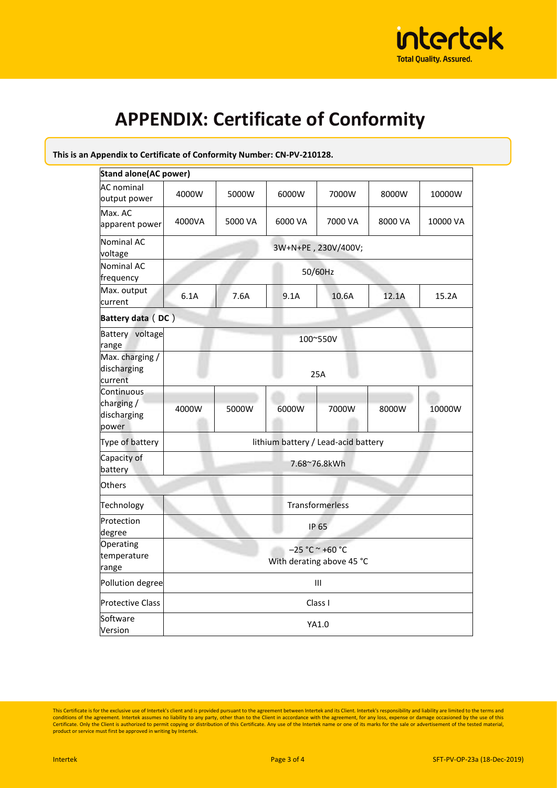

## **APPENDIX: Certificate of Conformity**

#### **This is an Appendix to Certificate of Conformity Number: CN-PV-210128.**

| <b>Stand alone (AC power)</b>                   |                                                |         |         |         |         |          |  |
|-------------------------------------------------|------------------------------------------------|---------|---------|---------|---------|----------|--|
| <b>AC</b> nominal<br>output power               | 4000W                                          | 5000W   | 6000W   | 7000W   | 8000W   | 10000W   |  |
| Max. AC<br>apparent power                       | 4000VA                                         | 5000 VA | 6000 VA | 7000 VA | 8000 VA | 10000 VA |  |
| <b>Nominal AC</b><br>voltage                    | 3W+N+PE, 230V/400V;                            |         |         |         |         |          |  |
| <b>Nominal AC</b><br>frequency                  | 50/60Hz                                        |         |         |         |         |          |  |
| Max. output<br>current                          | 6.1A                                           | 7.6A    | 9.1A    | 10.6A   | 12.1A   | 15.2A    |  |
|                                                 | Battery data (DC)                              |         |         |         |         |          |  |
| Battery voltage<br>range                        | 100~550V                                       |         |         |         |         |          |  |
| Max. charging /<br>discharging<br>current       | 25A                                            |         |         |         |         |          |  |
| Continuous<br>charging/<br>discharging<br>power | 4000W                                          | 5000W   | 6000W   | 7000W   | 8000W   | 10000W   |  |
| Type of battery                                 | lithium battery / Lead-acid battery            |         |         |         |         |          |  |
| Capacity of<br>battery                          | 7.68~76.8kWh                                   |         |         |         |         |          |  |
| <b>Others</b>                                   |                                                |         |         |         |         |          |  |
| Technology                                      | Transformerless                                |         |         |         |         |          |  |
| Protection<br>degree                            | <b>IP 65</b>                                   |         |         |         |         |          |  |
| Operating<br>temperature<br>range               | $-25 °C ~ +60 °C$<br>With derating above 45 °C |         |         |         |         |          |  |
| Pollution degree                                | Ш                                              |         |         |         |         |          |  |
| <b>Protective Class</b>                         | Class I                                        |         |         |         |         |          |  |
| Software<br>Version                             | YA1.0                                          |         |         |         |         |          |  |

This Certificate is for the exclusive use of Intertek's client and is provided pursuant to the agreement between Intertek and its Client. Intertek's responsibility and liability are limited to the terms and conditions of t